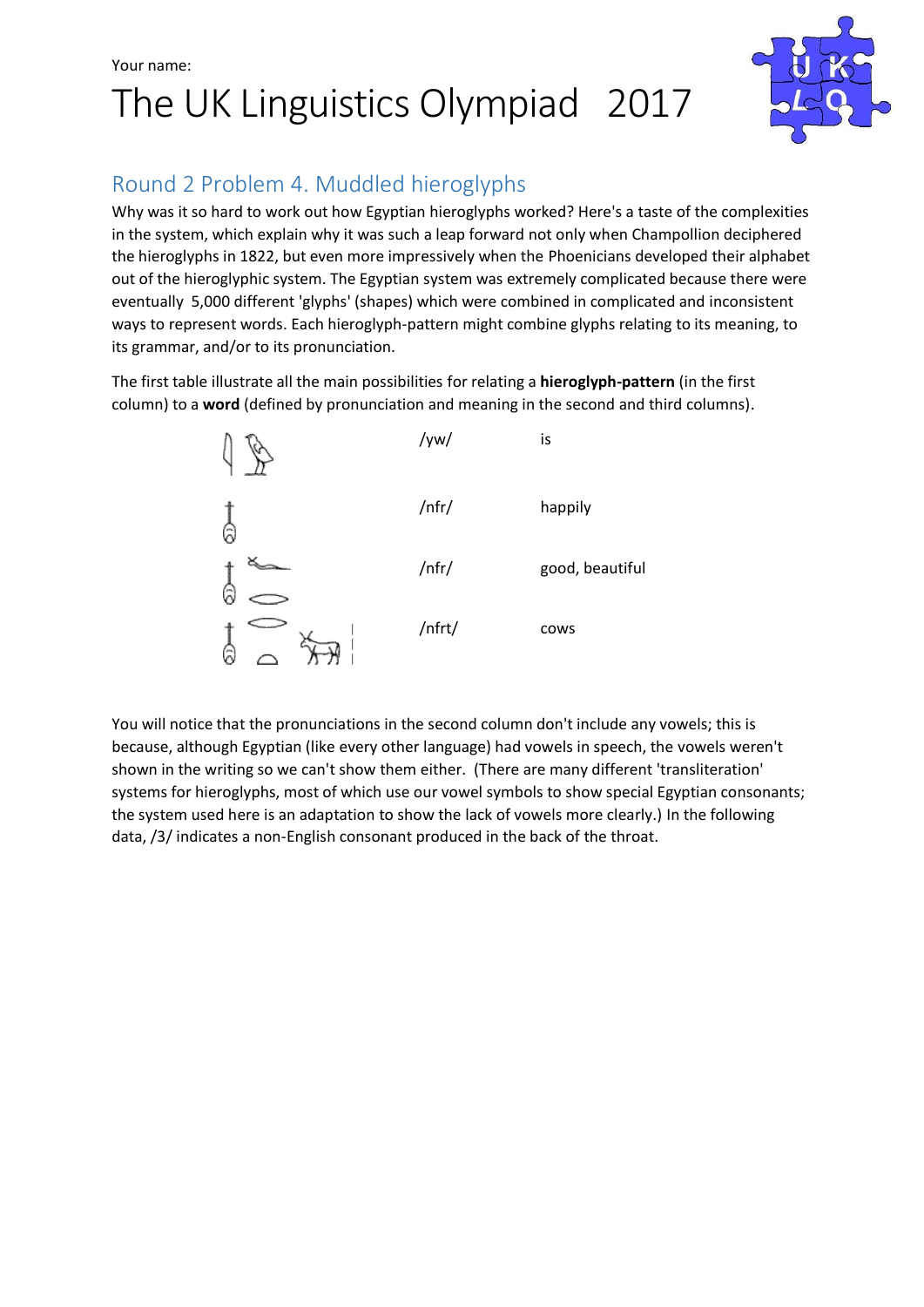## Your name: The UK Linguistics Olympiad 2017



### Round 2 Problem 4. Muddled hieroglyphs

Why was it so hard to work out how Egyptian hieroglyphs worked? Here's a taste of the complexities in the system, which explain why it was such a leap forward not only when Champollion deciphered the hieroglyphs in 1822, but even more impressively when the Phoenicians developed their alphabet out of the hieroglyphic system. The Egyptian system was extremely complicated because there were eventually 5,000 different 'glyphs' (shapes) which were combined in complicated and inconsistent ways to represent words. Each hieroglyph-pattern might combine glyphs relating to its meaning, to its grammar, and/or to its pronunciation.

The first table illustrate all the main possibilities for relating a **hieroglyph-pattern** (in the first column) to a **word** (defined by pronunciation and meaning in the second and third columns).



You will notice that the pronunciations in the second column don't include any vowels; this is because, although Egyptian (like every other language) had vowels in speech, the vowels weren't shown in the writing so we can't show them either. (There are many different 'transliteration' systems for hieroglyphs, most of which use our vowel symbols to show special Egyptian consonants; the system used here is an adaptation to show the lack of vowels more clearly.) In the following data, /3/ indicates a non-English consonant produced in the back of the throat.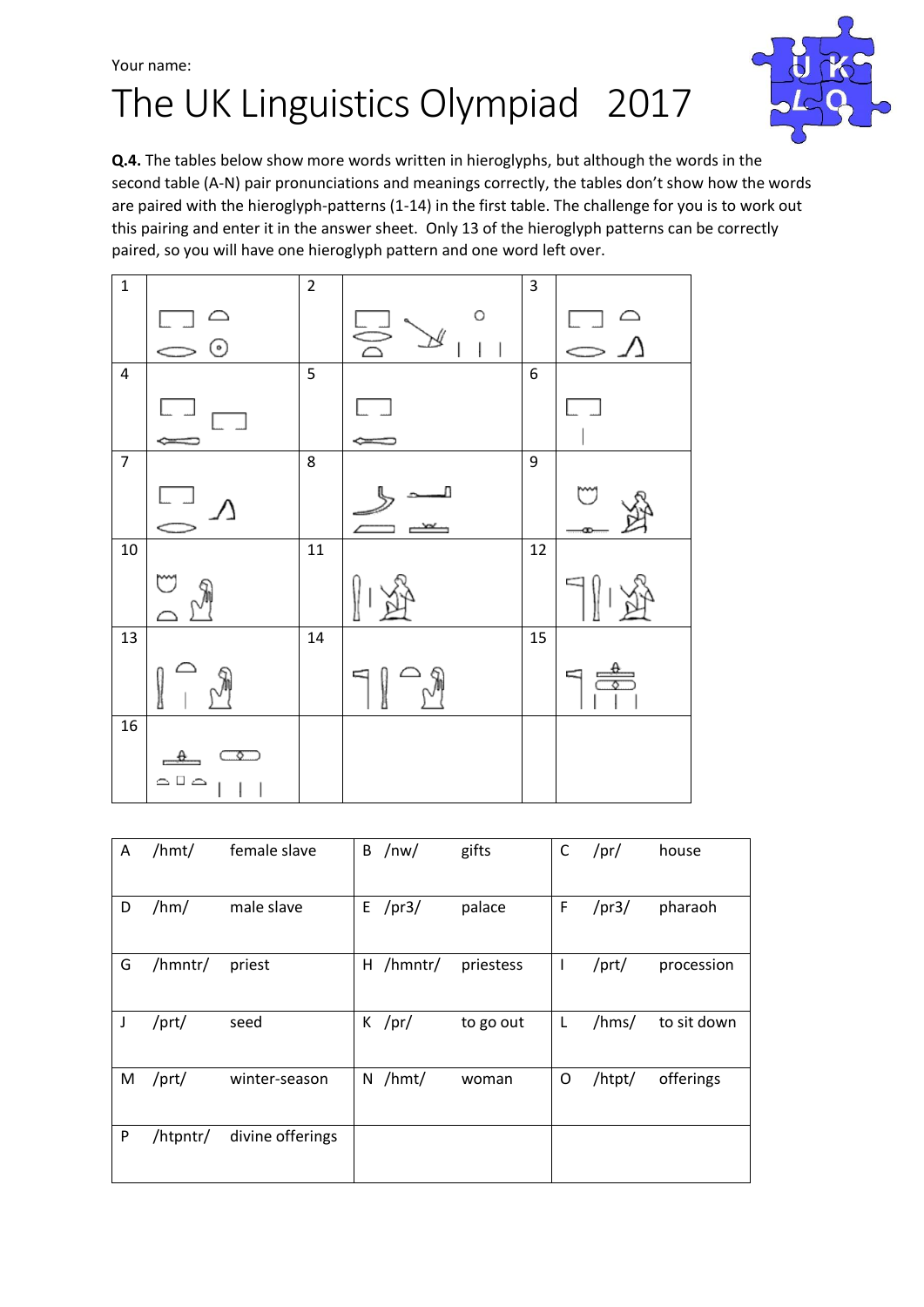## Your name: The UK Linguistics Olympiad 2017



**Q.4.** The tables below show more words written in hieroglyphs, but although the words in the second table (A-N) pair pronunciations and meanings correctly, the tables don't show how the words are paired with the hieroglyph-patterns (1-14) in the first table. The challenge for you is to work out this pairing and enter it in the answer sheet. Only 13 of the hieroglyph patterns can be correctly paired, so you will have one hieroglyph pattern and one word left over.



| A | /hmt/    | female slave     | B | /nw/         | gifts     | C            | /pr/        | house       |
|---|----------|------------------|---|--------------|-----------|--------------|-------------|-------------|
| D | /hm/     | male slave       |   | $E$ /pr3/    | palace    | F            | /pr3/       | pharaoh     |
| G | /hmntr/  | priest           |   | $H /$ hmntr/ | priestess | $\mathbf{I}$ | $/$ prt $/$ | procession  |
| J | /prt/    | seed             |   | $K$ /pr/     | to go out | L            | /hms/       | to sit down |
| M | /prt/    | winter-season    | N | /hmt/        | woman     | O            | /htpt/      | offerings   |
| P | /htpntr/ | divine offerings |   |              |           |              |             |             |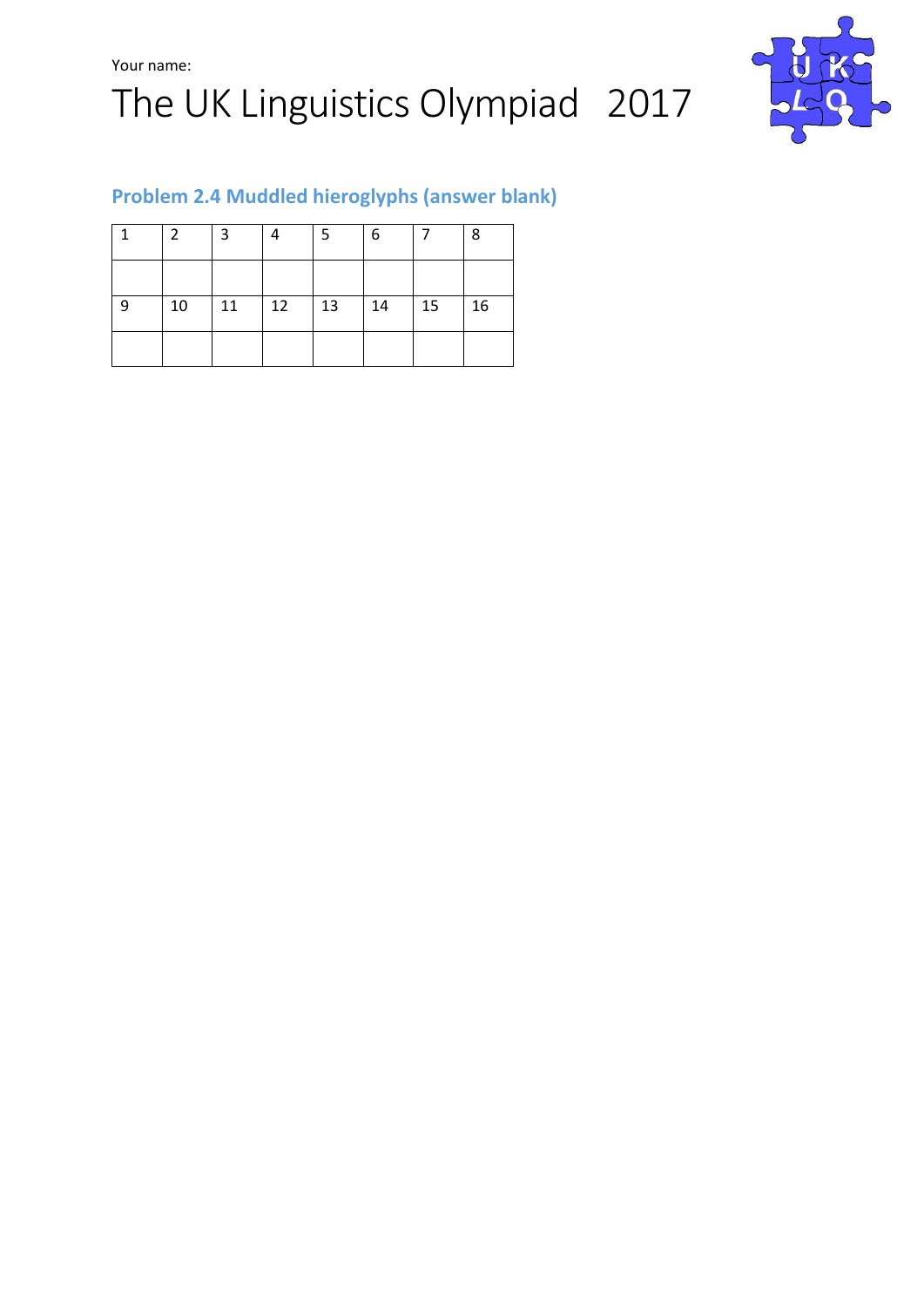



#### **Problem 2.4 Muddled hieroglyphs (answer blank)**

|    | $\mathcal{P}$ | 3  |    | 5  | 6  |    | 8  |
|----|---------------|----|----|----|----|----|----|
|    |               |    |    |    |    |    |    |
| -9 | 10            | 11 | 12 | 13 | 14 | 15 | 16 |
|    |               |    |    |    |    |    |    |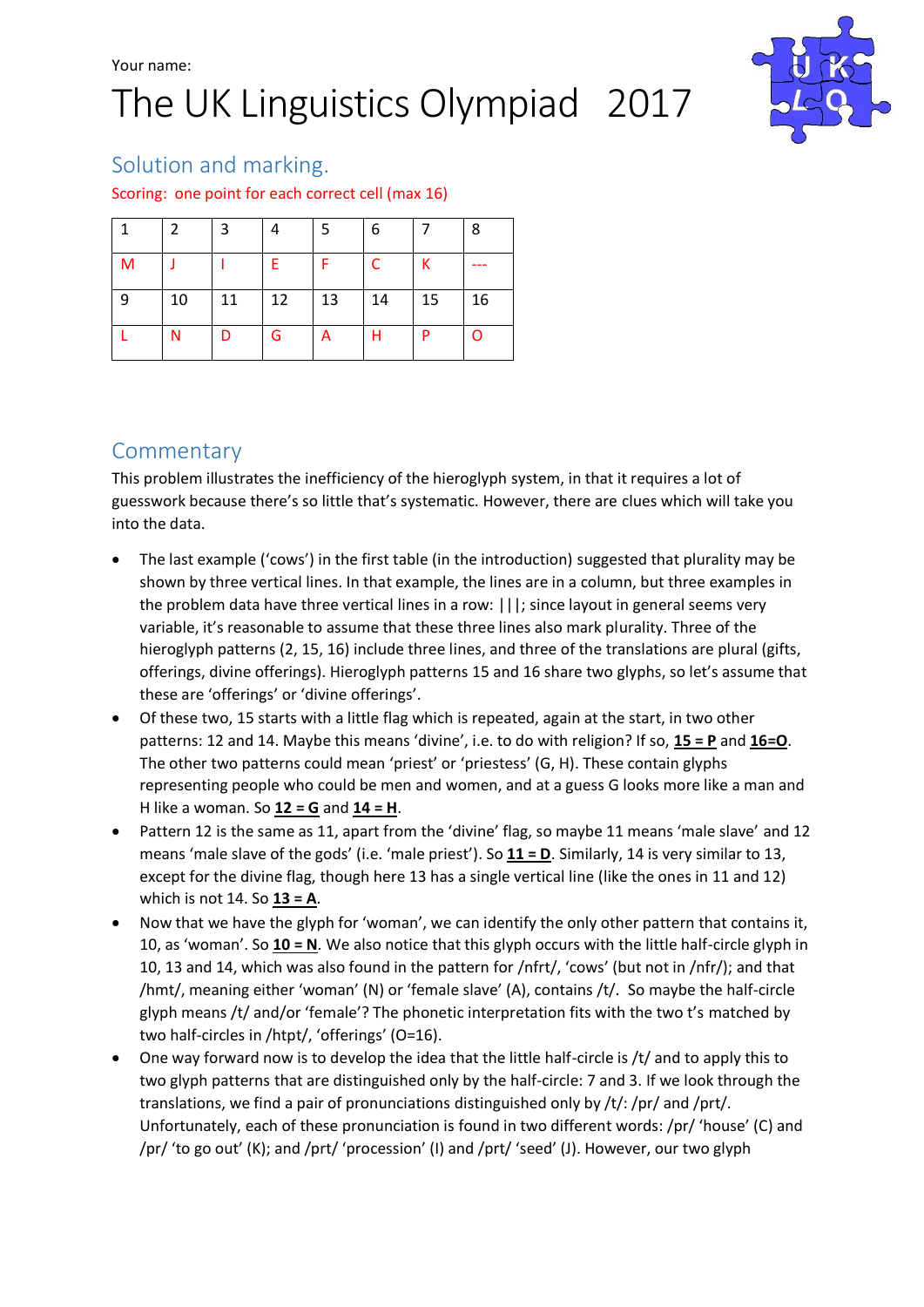

#### Solution and marking.

#### Scoring: one point for each correct cell (max 16)

|   | $\mathcal{P}$ | 3  |    | -5 | 6  |    | 8  |
|---|---------------|----|----|----|----|----|----|
| M |               |    | F. |    | C  | К  |    |
| 9 | 10            | 11 | 12 | 13 | 14 | 15 | 16 |
|   | N             | D  | G  | A  | Н  | P  | O  |

#### **Commentary**

This problem illustrates the inefficiency of the hieroglyph system, in that it requires a lot of guesswork because there's so little that's systematic. However, there are clues which will take you into the data.

- The last example ('cows') in the first table (in the introduction) suggested that plurality may be shown by three vertical lines. In that example, the lines are in a column, but three examples in the problem data have three vertical lines in a row: |||; since layout in general seems very variable, it's reasonable to assume that these three lines also mark plurality. Three of the hieroglyph patterns (2, 15, 16) include three lines, and three of the translations are plural (gifts, offerings, divine offerings). Hieroglyph patterns 15 and 16 share two glyphs, so let's assume that these are 'offerings' or 'divine offerings'.
- Of these two, 15 starts with a little flag which is repeated, again at the start, in two other patterns: 12 and 14. Maybe this means 'divine', i.e. to do with religion? If so, **15 = P** and **16=O**. The other two patterns could mean 'priest' or 'priestess' (G, H). These contain glyphs representing people who could be men and women, and at a guess G looks more like a man and H like a woman. So **12 = G** and **14 = H**.
- Pattern 12 is the same as 11, apart from the 'divine' flag, so maybe 11 means 'male slave' and 12 means 'male slave of the gods' (i.e. 'male priest'). So **11 = D**. Similarly, 14 is very similar to 13, except for the divine flag, though here 13 has a single vertical line (like the ones in 11 and 12) which is not 14. So **13 = A**.
- Now that we have the glyph for 'woman', we can identify the only other pattern that contains it, 10, as 'woman'. So **10 = N**. We also notice that this glyph occurs with the little half-circle glyph in 10, 13 and 14, which was also found in the pattern for /nfrt/, 'cows' (but not in /nfr/); and that /hmt/, meaning either 'woman' (N) or 'female slave' (A), contains /t/. So maybe the half-circle glyph means /t/ and/or 'female'? The phonetic interpretation fits with the two t's matched by two half-circles in /htpt/, 'offerings' (O=16).
- One way forward now is to develop the idea that the little half-circle is /t/ and to apply this to two glyph patterns that are distinguished only by the half-circle: 7 and 3. If we look through the translations, we find a pair of pronunciations distinguished only by /t/: /pr/ and /prt/. Unfortunately, each of these pronunciation is found in two different words: /pr/ 'house' (C) and /pr/ 'to go out' (K); and /prt/ 'procession' (I) and /prt/ 'seed' (J). However, our two glyph